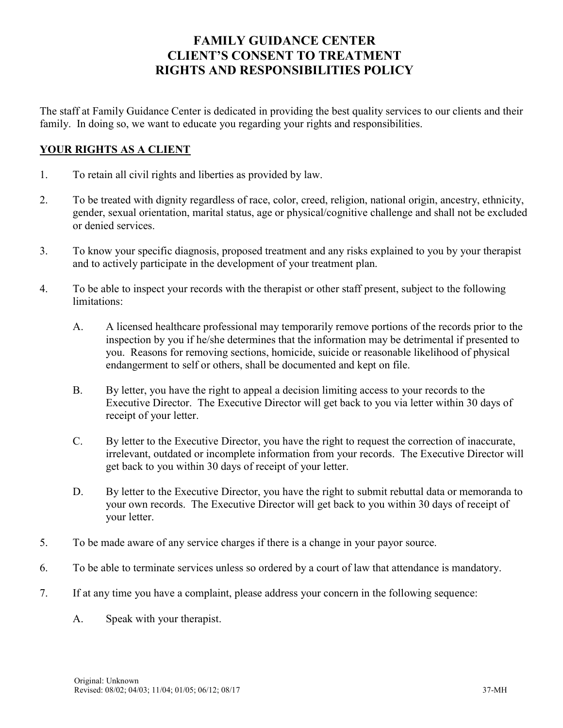## FAMILY GUIDANCE CENTER CLIENT'S CONSENT TO TREATMENT RIGHTS AND RESPONSIBILITIES POLICY

The staff at Family Guidance Center is dedicated in providing the best quality services to our clients and their family. In doing so, we want to educate you regarding your rights and responsibilities.

## YOUR RIGHTS AS A CLIENT

- 1. To retain all civil rights and liberties as provided by law.
- 2. To be treated with dignity regardless of race, color, creed, religion, national origin, ancestry, ethnicity, gender, sexual orientation, marital status, age or physical/cognitive challenge and shall not be excluded or denied services.
- 3. To know your specific diagnosis, proposed treatment and any risks explained to you by your therapist and to actively participate in the development of your treatment plan.
- 4. To be able to inspect your records with the therapist or other staff present, subject to the following limitations:
	- A. A licensed healthcare professional may temporarily remove portions of the records prior to the inspection by you if he/she determines that the information may be detrimental if presented to you. Reasons for removing sections, homicide, suicide or reasonable likelihood of physical endangerment to self or others, shall be documented and kept on file.
	- B. By letter, you have the right to appeal a decision limiting access to your records to the Executive Director. The Executive Director will get back to you via letter within 30 days of receipt of your letter.
	- C. By letter to the Executive Director, you have the right to request the correction of inaccurate, irrelevant, outdated or incomplete information from your records. The Executive Director will get back to you within 30 days of receipt of your letter.
	- D. By letter to the Executive Director, you have the right to submit rebuttal data or memoranda to your own records. The Executive Director will get back to you within 30 days of receipt of your letter.
- 5. To be made aware of any service charges if there is a change in your payor source.
- 6. To be able to terminate services unless so ordered by a court of law that attendance is mandatory.
- 7. If at any time you have a complaint, please address your concern in the following sequence:
	- A. Speak with your therapist.